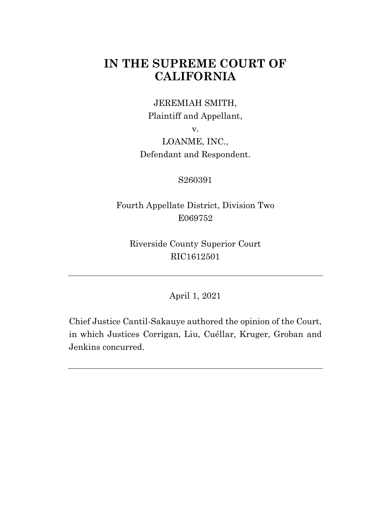# **IN THE SUPREME COURT OF CALIFORNIA**

## JEREMIAH SMITH, Plaintiff and Appellant,

v.

LOANME, INC., Defendant and Respondent.

#### S260391

Fourth Appellate District, Division Two E069752

Riverside County Superior Court RIC1612501

April 1, 2021

Chief Justice Cantil-Sakauye authored the opinion of the Court, in which Justices Corrigan, Liu, Cuéllar, Kruger, Groban and Jenkins concurred.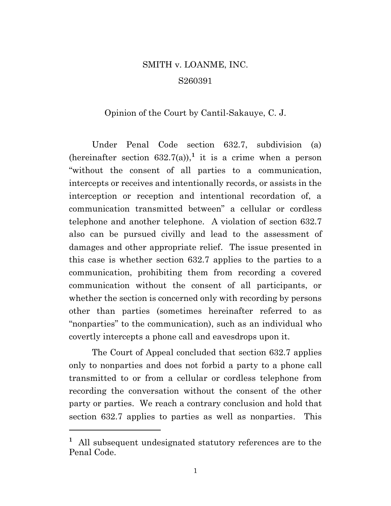# SMITH v. LOANME, INC. S260391

#### Opinion of the Court by Cantil-Sakauye, C. J.

Under Penal Code section 632.7, subdivision (a) (hereinafter section  $632.7(a)$ ),<sup>1</sup> it is a crime when a person "without the consent of all parties to a communication, intercepts or receives and intentionally records, or assists in the interception or reception and intentional recordation of, a communication transmitted between" a cellular or cordless telephone and another telephone. A violation of section 632.7 also can be pursued civilly and lead to the assessment of damages and other appropriate relief. The issue presented in this case is whether section 632.7 applies to the parties to a communication, prohibiting them from recording a covered communication without the consent of all participants, or whether the section is concerned only with recording by persons other than parties (sometimes hereinafter referred to as "nonparties" to the communication), such as an individual who covertly intercepts a phone call and eavesdrops upon it.

The Court of Appeal concluded that section 632.7 applies only to nonparties and does not forbid a party to a phone call transmitted to or from a cellular or cordless telephone from recording the conversation without the consent of the other party or parties. We reach a contrary conclusion and hold that section 632.7 applies to parties as well as nonparties. This

**<sup>1</sup>** All subsequent undesignated statutory references are to the Penal Code.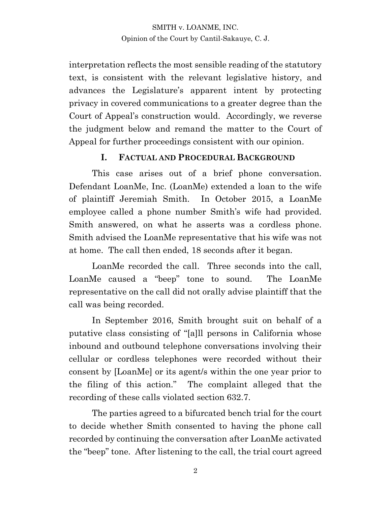interpretation reflects the most sensible reading of the statutory text, is consistent with the relevant legislative history, and advances the Legislature's apparent intent by protecting privacy in covered communications to a greater degree than the Court of Appeal's construction would. Accordingly, we reverse the judgment below and remand the matter to the Court of Appeal for further proceedings consistent with our opinion.

#### **I. FACTUAL AND PROCEDURAL BACKGROUND**

This case arises out of a brief phone conversation. Defendant LoanMe, Inc. (LoanMe) extended a loan to the wife of plaintiff Jeremiah Smith. In October 2015, a LoanMe employee called a phone number Smith's wife had provided. Smith answered, on what he asserts was a cordless phone. Smith advised the LoanMe representative that his wife was not at home. The call then ended, 18 seconds after it began.

LoanMe recorded the call. Three seconds into the call, LoanMe caused a "beep" tone to sound. The LoanMe representative on the call did not orally advise plaintiff that the call was being recorded.

In September 2016, Smith brought suit on behalf of a putative class consisting of "[a]ll persons in California whose inbound and outbound telephone conversations involving their cellular or cordless telephones were recorded without their consent by [LoanMe] or its agent/s within the one year prior to the filing of this action." The complaint alleged that the recording of these calls violated section 632.7.

The parties agreed to a bifurcated bench trial for the court to decide whether Smith consented to having the phone call recorded by continuing the conversation after LoanMe activated the "beep" tone. After listening to the call, the trial court agreed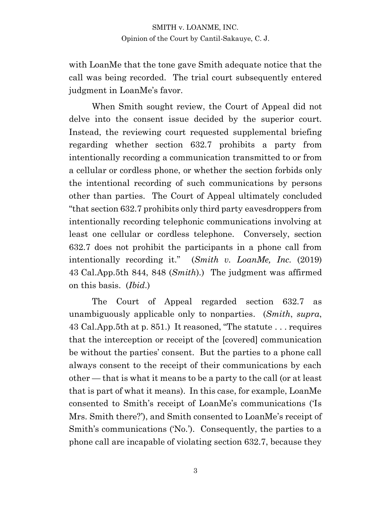with LoanMe that the tone gave Smith adequate notice that the call was being recorded. The trial court subsequently entered judgment in LoanMe's favor.

When Smith sought review, the Court of Appeal did not delve into the consent issue decided by the superior court. Instead, the reviewing court requested supplemental briefing regarding whether section 632.7 prohibits a party from intentionally recording a communication transmitted to or from a cellular or cordless phone, or whether the section forbids only the intentional recording of such communications by persons other than parties. The Court of Appeal ultimately concluded "that section 632.7 prohibits only third party eavesdroppers from intentionally recording telephonic communications involving at least one cellular or cordless telephone. Conversely, section 632.7 does not prohibit the participants in a phone call from intentionally recording it." (*Smith v. LoanMe, Inc.* (2019) 43 Cal.App.5th 844, 848 (*Smith*).) The judgment was affirmed on this basis. (*Ibid*.)

The Court of Appeal regarded section 632.7 as unambiguously applicable only to nonparties. (*Smith*, *supra*, 43 Cal.App.5th at p. 851.) It reasoned, "The statute . . . requires that the interception or receipt of the [covered] communication be without the parties' consent. But the parties to a phone call always consent to the receipt of their communications by each other — that is what it means to be a party to the call (or at least that is part of what it means). In this case, for example, LoanMe consented to Smith's receipt of LoanMe's communications ('Is Mrs. Smith there?'), and Smith consented to LoanMe's receipt of Smith's communications ('No.'). Consequently, the parties to a phone call are incapable of violating section 632.7, because they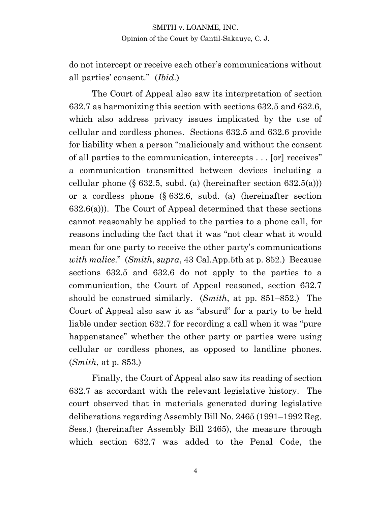do not intercept or receive each other's communications without all parties' consent." (*Ibid*.)

The Court of Appeal also saw its interpretation of section 632.7 as harmonizing this section with sections 632.5 and 632.6, which also address privacy issues implicated by the use of cellular and cordless phones. Sections 632.5 and 632.6 provide for liability when a person "maliciously and without the consent of all parties to the communication, intercepts . . . [or] receives" a communication transmitted between devices including a cellular phone  $(\S 632.5, \text{subd.} (a)$  (hereinafter section  $(632.5(a))$ ) or a cordless phone (§ 632.6, subd. (a) (hereinafter section 632.6(a))). The Court of Appeal determined that these sections cannot reasonably be applied to the parties to a phone call, for reasons including the fact that it was "not clear what it would mean for one party to receive the other party's communications *with malice*." (*Smith*, *supra*, 43 Cal.App.5th at p. 852.) Because sections 632.5 and 632.6 do not apply to the parties to a communication, the Court of Appeal reasoned, section 632.7 should be construed similarly. (*Smith*, at pp. 851–852.) The Court of Appeal also saw it as "absurd" for a party to be held liable under section 632.7 for recording a call when it was "pure happenstance" whether the other party or parties were using cellular or cordless phones, as opposed to landline phones. (*Smith*, at p. 853.)

Finally, the Court of Appeal also saw its reading of section 632.7 as accordant with the relevant legislative history. The court observed that in materials generated during legislative deliberations regarding Assembly Bill No. 2465 (1991–1992 Reg. Sess.) (hereinafter Assembly Bill 2465), the measure through which section 632.7 was added to the Penal Code, the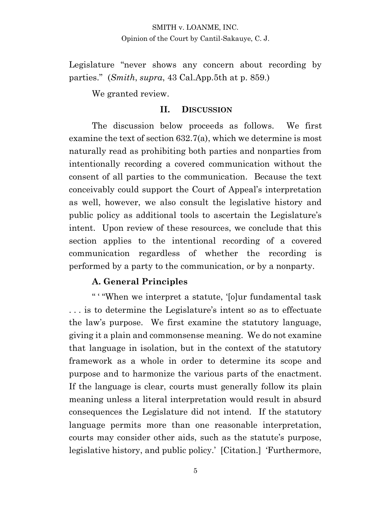Legislature "never shows any concern about recording by parties." (*Smith*, *supra*, 43 Cal.App.5th at p. 859.)

We granted review.

#### **II. DISCUSSION**

The discussion below proceeds as follows. We first examine the text of section 632.7(a), which we determine is most naturally read as prohibiting both parties and nonparties from intentionally recording a covered communication without the consent of all parties to the communication. Because the text conceivably could support the Court of Appeal's interpretation as well, however, we also consult the legislative history and public policy as additional tools to ascertain the Legislature's intent. Upon review of these resources, we conclude that this section applies to the intentional recording of a covered communication regardless of whether the recording is performed by a party to the communication, or by a nonparty.

#### **A. General Principles**

" ' "When we interpret a statute, '[o]ur fundamental task . . . is to determine the Legislature's intent so as to effectuate the law's purpose. We first examine the statutory language, giving it a plain and commonsense meaning. We do not examine that language in isolation, but in the context of the statutory framework as a whole in order to determine its scope and purpose and to harmonize the various parts of the enactment. If the language is clear, courts must generally follow its plain meaning unless a literal interpretation would result in absurd consequences the Legislature did not intend. If the statutory language permits more than one reasonable interpretation, courts may consider other aids, such as the statute's purpose, legislative history, and public policy.' [Citation.] 'Furthermore,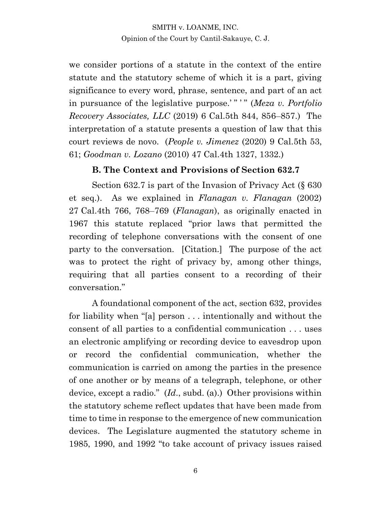we consider portions of a statute in the context of the entire statute and the statutory scheme of which it is a part, giving significance to every word, phrase, sentence, and part of an act in pursuance of the legislative purpose.' " ' " (*Meza v. Portfolio Recovery Associates, LLC* (2019) 6 Cal.5th 844, 856–857.) The interpretation of a statute presents a question of law that this court reviews de novo. (*People v. Jimenez* (2020) 9 Cal.5th 53, 61; *Goodman v. Lozano* (2010) 47 Cal.4th 1327, 1332.)

#### **B. The Context and Provisions of Section 632.7**

Section 632.7 is part of the Invasion of Privacy Act (§ 630) et seq.). As we explained in *Flanagan v. Flanagan* (2002) 27 Cal.4th 766, 768–769 (*Flanagan*), as originally enacted in 1967 this statute replaced "prior laws that permitted the recording of telephone conversations with the consent of one party to the conversation. [Citation.] The purpose of the act was to protect the right of privacy by, among other things, requiring that all parties consent to a recording of their conversation."

A foundational component of the act, section 632, provides for liability when "[a] person . . . intentionally and without the consent of all parties to a confidential communication . . . uses an electronic amplifying or recording device to eavesdrop upon or record the confidential communication, whether the communication is carried on among the parties in the presence of one another or by means of a telegraph, telephone, or other device, except a radio." (*Id*., subd. (a).) Other provisions within the statutory scheme reflect updates that have been made from time to time in response to the emergence of new communication devices. The Legislature augmented the statutory scheme in 1985, 1990, and 1992 "to take account of privacy issues raised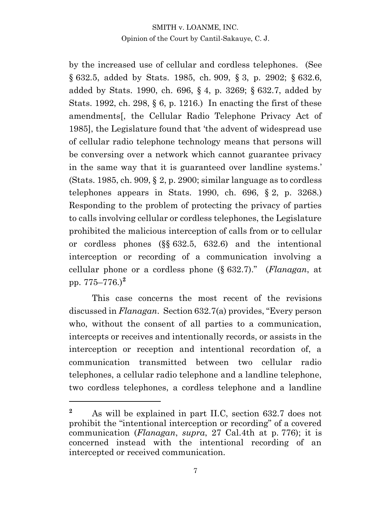by the increased use of cellular and cordless telephones. (See § 632.5, added by Stats. 1985, ch. 909, § 3, p. 2902; § 632.6, added by Stats. 1990, ch. 696, § 4, p. 3269; § 632.7, added by Stats. 1992, ch. 298,  $\S 6$ , p. 1216.) In enacting the first of these amendments[, the Cellular Radio Telephone Privacy Act of 1985], the Legislature found that 'the advent of widespread use of cellular radio telephone technology means that persons will be conversing over a network which cannot guarantee privacy in the same way that it is guaranteed over landline systems.' (Stats. 1985, ch. 909,  $\S 2$ , p. 2900; similar language as to cordless telephones appears in Stats. 1990, ch.  $696, \S 2, \mathbf{p}$ . 3268.) Responding to the problem of protecting the privacy of parties to calls involving cellular or cordless telephones, the Legislature prohibited the malicious interception of calls from or to cellular or cordless phones (§§ 632.5, 632.6) and the intentional interception or recording of a communication involving a cellular phone or a cordless phone (§ 632.7)." (*Flanagan*, at pp. 775–776.)**<sup>2</sup>**

This case concerns the most recent of the revisions discussed in *Flanagan*. Section 632.7(a) provides, "Every person who, without the consent of all parties to a communication, intercepts or receives and intentionally records, or assists in the interception or reception and intentional recordation of, a communication transmitted between two cellular radio telephones, a cellular radio telephone and a landline telephone, two cordless telephones, a cordless telephone and a landline

**<sup>2</sup>** As will be explained in part II.C, section 632.7 does not prohibit the "intentional interception or recording" of a covered communication (*Flanagan*, *supra*, 27 Cal.4th at p. 776); it is concerned instead with the intentional recording of an intercepted or received communication.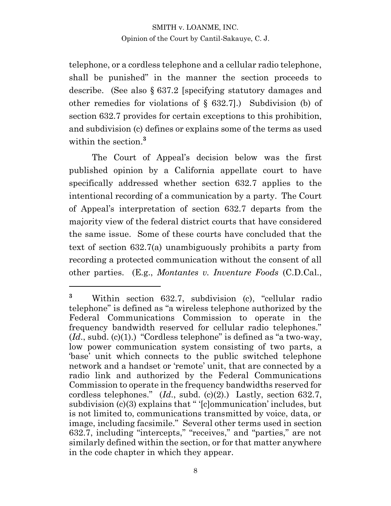telephone, or a cordless telephone and a cellular radio telephone, shall be punished" in the manner the section proceeds to describe. (See also § 637.2 [specifying statutory damages and other remedies for violations of § 632.7].) Subdivision (b) of section 632.7 provides for certain exceptions to this prohibition, and subdivision (c) defines or explains some of the terms as used within the section. **3**

The Court of Appeal's decision below was the first published opinion by a California appellate court to have specifically addressed whether section 632.7 applies to the intentional recording of a communication by a party. The Court of Appeal's interpretation of section 632.7 departs from the majority view of the federal district courts that have considered the same issue. Some of these courts have concluded that the text of section 632.7(a) unambiguously prohibits a party from recording a protected communication without the consent of all other parties. (E.g., *Montantes v. Inventure Foods* (C.D.Cal.,

**<sup>3</sup>** Within section 632.7, subdivision (c), "cellular radio telephone" is defined as "a wireless telephone authorized by the Federal Communications Commission to operate in the frequency bandwidth reserved for cellular radio telephones."  $(Id, subd. (c)(1).)'$  "Cordless telephone" is defined as "a two-way, low power communication system consisting of two parts, a 'base' unit which connects to the public switched telephone network and a handset or 'remote' unit, that are connected by a radio link and authorized by the Federal Communications Commission to operate in the frequency bandwidths reserved for cordless telephones." (*Id*., subd. (c)(2).) Lastly, section 632.7, subdivision (c)(3) explains that " '[c]ommunication' includes, but is not limited to, communications transmitted by voice, data, or image, including facsimile." Several other terms used in section 632.7, including "intercepts," "receives," and "parties," are not similarly defined within the section, or for that matter anywhere in the code chapter in which they appear.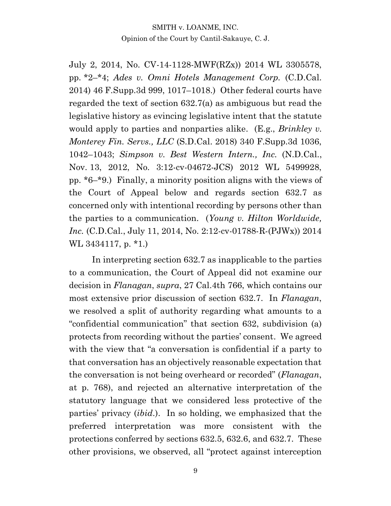July 2, 2014, No. CV-14-1128-MWF(RZx)) 2014 WL 3305578, pp. \*2–\*4; *Ades v. Omni Hotels Management Corp.* (C.D.Cal. 2014) 46 F.Supp.3d 999, 1017–1018.) Other federal courts have regarded the text of section 632.7(a) as ambiguous but read the legislative history as evincing legislative intent that the statute would apply to parties and nonparties alike. (E.g., *Brinkley v. Monterey Fin. Servs., LLC* (S.D.Cal. 2018) 340 F.Supp.3d 1036, 1042–1043; *Simpson v. Best Western Intern., Inc.* (N.D.Cal., Nov. 13, 2012, No. 3:12-cv-04672-JCS) 2012 WL 5499928, pp. \*6–\*9.) Finally, a minority position aligns with the views of the Court of Appeal below and regards section 632.7 as concerned only with intentional recording by persons other than the parties to a communication. (*Young v. Hilton Worldwide, Inc.* (C.D.Cal., July 11, 2014, No. 2:12-cv-01788-R-(PJWx)) 2014 WL 3434117, p. \*1.)

In interpreting section 632.7 as inapplicable to the parties to a communication, the Court of Appeal did not examine our decision in *Flanagan*, *supra*, 27 Cal.4th 766, which contains our most extensive prior discussion of section 632.7. In *Flanagan*, we resolved a split of authority regarding what amounts to a "confidential communication" that section 632, subdivision (a) protects from recording without the parties' consent. We agreed with the view that "a conversation is confidential if a party to that conversation has an objectively reasonable expectation that the conversation is not being overheard or recorded" (*Flanagan*, at p. 768), and rejected an alternative interpretation of the statutory language that we considered less protective of the parties' privacy (*ibid*.). In so holding, we emphasized that the preferred interpretation was more consistent with the protections conferred by sections 632.5, 632.6, and 632.7. These other provisions, we observed, all "protect against interception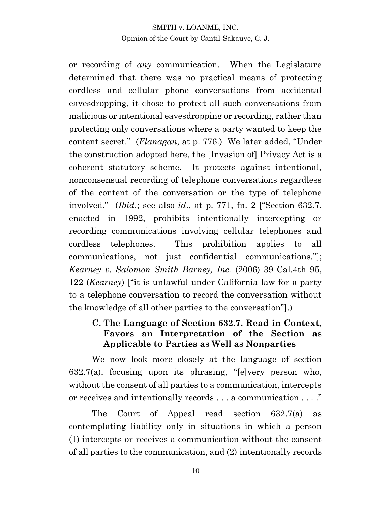or recording of *any* communication. When the Legislature determined that there was no practical means of protecting cordless and cellular phone conversations from accidental eavesdropping, it chose to protect all such conversations from malicious or intentional eavesdropping or recording, rather than protecting only conversations where a party wanted to keep the content secret." (*Flanagan*, at p. 776.) We later added, "Under the construction adopted here, the [Invasion of] Privacy Act is a coherent statutory scheme. It protects against intentional, nonconsensual recording of telephone conversations regardless of the content of the conversation or the type of telephone involved." (*Ibid*.; see also *id*., at p. 771, fn. 2 ["Section 632.7, enacted in 1992, prohibits intentionally intercepting or recording communications involving cellular telephones and cordless telephones. This prohibition applies to all communications, not just confidential communications."]; *Kearney v. Salomon Smith Barney, Inc.* (2006) 39 Cal.4th 95, 122 (*Kearney*) ["it is unlawful under California law for a party to a telephone conversation to record the conversation without the knowledge of all other parties to the conversation"].)

### **C. The Language of Section 632.7, Read in Context, Favors an Interpretation of the Section as Applicable to Parties as Well as Nonparties**

We now look more closely at the language of section 632.7(a), focusing upon its phrasing, "[e]very person who, without the consent of all parties to a communication, intercepts or receives and intentionally records . . . a communication . . . ."

The Court of Appeal read section 632.7(a) as contemplating liability only in situations in which a person (1) intercepts or receives a communication without the consent of all parties to the communication, and (2) intentionally records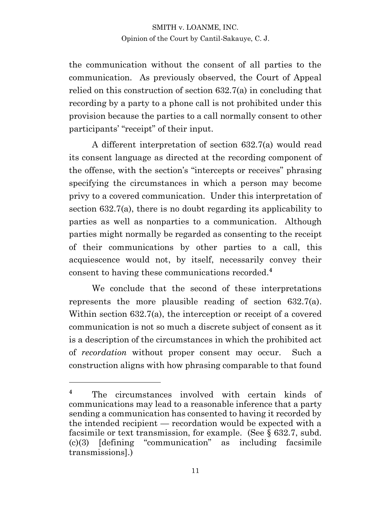the communication without the consent of all parties to the communication. As previously observed, the Court of Appeal relied on this construction of section 632.7(a) in concluding that recording by a party to a phone call is not prohibited under this provision because the parties to a call normally consent to other participants' "receipt" of their input.

A different interpretation of section 632.7(a) would read its consent language as directed at the recording component of the offense, with the section's "intercepts or receives" phrasing specifying the circumstances in which a person may become privy to a covered communication. Under this interpretation of section 632.7(a), there is no doubt regarding its applicability to parties as well as nonparties to a communication. Although parties might normally be regarded as consenting to the receipt of their communications by other parties to a call, this acquiescence would not, by itself, necessarily convey their consent to having these communications recorded. **4**

We conclude that the second of these interpretations represents the more plausible reading of section 632.7(a). Within section 632.7(a), the interception or receipt of a covered communication is not so much a discrete subject of consent as it is a description of the circumstances in which the prohibited act of *recordation* without proper consent may occur. Such a construction aligns with how phrasing comparable to that found

**<sup>4</sup>** The circumstances involved with certain kinds of communications may lead to a reasonable inference that a party sending a communication has consented to having it recorded by the intended recipient — recordation would be expected with a facsimile or text transmission, for example. (See § 632.7, subd. (c)(3) [defining "communication" as including facsimile transmissions].)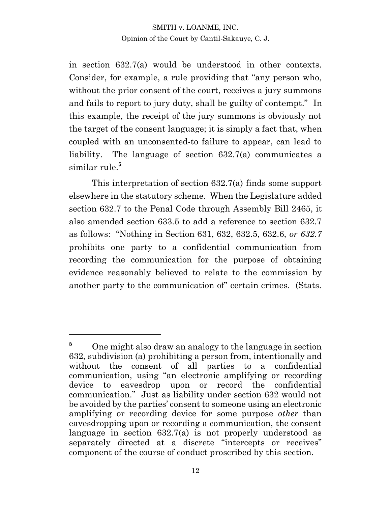in section 632.7(a) would be understood in other contexts. Consider, for example, a rule providing that "any person who, without the prior consent of the court, receives a jury summons and fails to report to jury duty, shall be guilty of contempt." In this example, the receipt of the jury summons is obviously not the target of the consent language; it is simply a fact that, when coupled with an unconsented-to failure to appear, can lead to liability. The language of section 632.7(a) communicates a similar rule.**<sup>5</sup>**

This interpretation of section 632.7(a) finds some support elsewhere in the statutory scheme. When the Legislature added section 632.7 to the Penal Code through Assembly Bill 2465, it also amended section 633.5 to add a reference to section 632.7 as follows: "Nothing in Section 631, 632, 632.5, 632.6, *or 632.7* prohibits one party to a confidential communication from recording the communication for the purpose of obtaining evidence reasonably believed to relate to the commission by another party to the communication of" certain crimes. (Stats.

<sup>&</sup>lt;sup>5</sup> One might also draw an analogy to the language in section 632, subdivision (a) prohibiting a person from, intentionally and without the consent of all parties to a confidential communication, using "an electronic amplifying or recording device to eavesdrop upon or record the confidential communication." Just as liability under section 632 would not be avoided by the parties' consent to someone using an electronic amplifying or recording device for some purpose *other* than eavesdropping upon or recording a communication, the consent language in section 632.7(a) is not properly understood as separately directed at a discrete "intercepts or receives" component of the course of conduct proscribed by this section.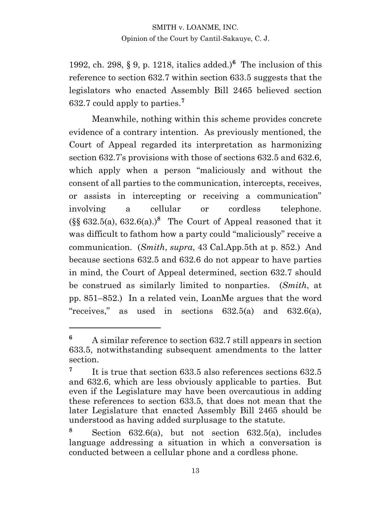1992, ch. 298, § 9, p. 1218, italics added.)**<sup>6</sup>** The inclusion of this reference to section 632.7 within section 633.5 suggests that the legislators who enacted Assembly Bill 2465 believed section 632.7 could apply to parties.**<sup>7</sup>**

Meanwhile, nothing within this scheme provides concrete evidence of a contrary intention. As previously mentioned, the Court of Appeal regarded its interpretation as harmonizing section 632.7's provisions with those of sections 632.5 and 632.6, which apply when a person "maliciously and without the consent of all parties to the communication, intercepts, receives, or assists in intercepting or receiving a communication" involving a cellular or cordless telephone.  $(\S\$  632.5(a), 632.6(a).)<sup>8</sup> The Court of Appeal reasoned that it was difficult to fathom how a party could "maliciously" receive a communication. (*Smith*, *supra*, 43 Cal.App.5th at p. 852.) And because sections 632.5 and 632.6 do not appear to have parties in mind, the Court of Appeal determined, section 632.7 should be construed as similarly limited to nonparties. (*Smith*, at pp. 851–852.) In a related vein, LoanMe argues that the word "receives," as used in sections 632.5(a) and 632.6(a),

**<sup>6</sup>** A similar reference to section 632.7 still appears in section 633.5, notwithstanding subsequent amendments to the latter section.

**<sup>7</sup>** It is true that section 633.5 also references sections 632.5 and 632.6, which are less obviously applicable to parties. But even if the Legislature may have been overcautious in adding these references to section 633.5, that does not mean that the later Legislature that enacted Assembly Bill 2465 should be understood as having added surplusage to the statute.

**<sup>8</sup>** Section 632.6(a), but not section 632.5(a), includes language addressing a situation in which a conversation is conducted between a cellular phone and a cordless phone.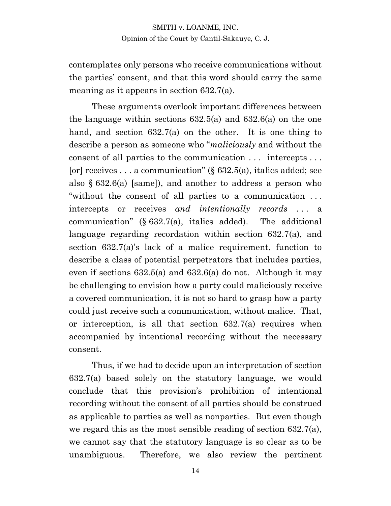contemplates only persons who receive communications without the parties' consent, and that this word should carry the same meaning as it appears in section 632.7(a).

These arguments overlook important differences between the language within sections 632.5(a) and 632.6(a) on the one hand, and section 632.7(a) on the other. It is one thing to describe a person as someone who "*maliciously* and without the consent of all parties to the communication . . . intercepts . . . [or] receives . . . a communication" ( $\S$  632.5(a), italics added; see also § 632.6(a) [same]), and another to address a person who "without the consent of all parties to a communication . . . intercepts or receives *and intentionally records* . . . a communication" (§ 632.7(a), italics added). The additional language regarding recordation within section 632.7(a), and section 632.7(a)'s lack of a malice requirement, function to describe a class of potential perpetrators that includes parties, even if sections 632.5(a) and 632.6(a) do not. Although it may be challenging to envision how a party could maliciously receive a covered communication, it is not so hard to grasp how a party could just receive such a communication, without malice. That, or interception, is all that section 632.7(a) requires when accompanied by intentional recording without the necessary consent.

Thus, if we had to decide upon an interpretation of section 632.7(a) based solely on the statutory language, we would conclude that this provision's prohibition of intentional recording without the consent of all parties should be construed as applicable to parties as well as nonparties. But even though we regard this as the most sensible reading of section 632.7(a), we cannot say that the statutory language is so clear as to be unambiguous. Therefore, we also review the pertinent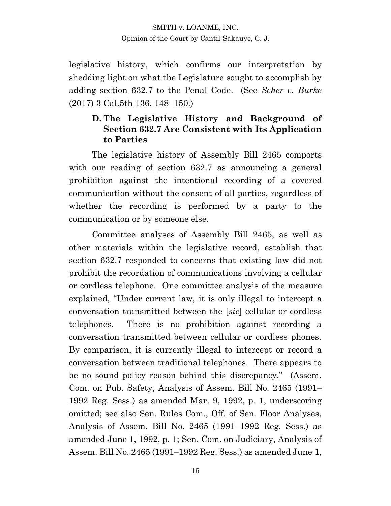legislative history, which confirms our interpretation by shedding light on what the Legislature sought to accomplish by adding section 632.7 to the Penal Code. (See *Scher v. Burke* (2017) 3 Cal.5th 136, 148–150.)

### **D. The Legislative History and Background of Section 632.7 Are Consistent with Its Application to Parties**

The legislative history of Assembly Bill 2465 comports with our reading of section 632.7 as announcing a general prohibition against the intentional recording of a covered communication without the consent of all parties, regardless of whether the recording is performed by a party to the communication or by someone else.

Committee analyses of Assembly Bill 2465, as well as other materials within the legislative record, establish that section 632.7 responded to concerns that existing law did not prohibit the recordation of communications involving a cellular or cordless telephone. One committee analysis of the measure explained, "Under current law, it is only illegal to intercept a conversation transmitted between the [*sic*] cellular or cordless telephones. There is no prohibition against recording a conversation transmitted between cellular or cordless phones. By comparison, it is currently illegal to intercept or record a conversation between traditional telephones. There appears to be no sound policy reason behind this discrepancy." (Assem. Com. on Pub. Safety, Analysis of Assem. Bill No. 2465 (1991– 1992 Reg. Sess.) as amended Mar. 9, 1992, p. 1, underscoring omitted; see also Sen. Rules Com., Off. of Sen. Floor Analyses, Analysis of Assem. Bill No. 2465 (1991–1992 Reg. Sess.) as amended June 1, 1992, p. 1; Sen. Com. on Judiciary, Analysis of Assem. Bill No. 2465 (1991–1992 Reg. Sess.) as amended June 1,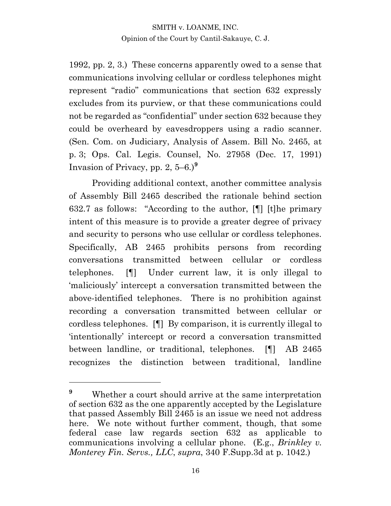1992, pp. 2, 3.) These concerns apparently owed to a sense that communications involving cellular or cordless telephones might represent "radio" communications that section 632 expressly excludes from its purview, or that these communications could not be regarded as "confidential" under section 632 because they could be overheard by eavesdroppers using a radio scanner. (Sen. Com. on Judiciary, Analysis of Assem. Bill No. 2465, at p. 3; Ops. Cal. Legis. Counsel, No. 27958 (Dec. 17, 1991) Invasion of Privacy, pp. 2, 5–6.) **9**

Providing additional context, another committee analysis of Assembly Bill 2465 described the rationale behind section 632.7 as follows: "According to the author, [¶] [t]he primary intent of this measure is to provide a greater degree of privacy and security to persons who use cellular or cordless telephones. Specifically, AB 2465 prohibits persons from recording conversations transmitted between cellular or cordless telephones. [¶] Under current law, it is only illegal to 'maliciously' intercept a conversation transmitted between the above-identified telephones. There is no prohibition against recording a conversation transmitted between cellular or cordless telephones. [¶] By comparison, it is currently illegal to 'intentionally' intercept or record a conversation transmitted between landline, or traditional, telephones. [¶] AB 2465 recognizes the distinction between traditional, landline

<sup>&</sup>lt;sup>9</sup> Whether a court should arrive at the same interpretation of section 632 as the one apparently accepted by the Legislature that passed Assembly Bill 2465 is an issue we need not address here. We note without further comment, though, that some federal case law regards section 632 as applicable to communications involving a cellular phone. (E.g., *Brinkley v. Monterey Fin. Servs., LLC*, *supra*, 340 F.Supp.3d at p. 1042.)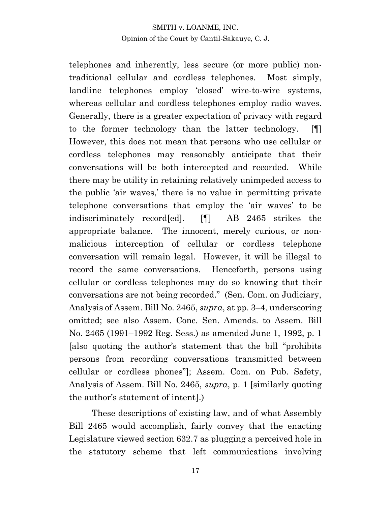telephones and inherently, less secure (or more public) nontraditional cellular and cordless telephones. Most simply, landline telephones employ 'closed' wire-to-wire systems, whereas cellular and cordless telephones employ radio waves. Generally, there is a greater expectation of privacy with regard to the former technology than the latter technology. [¶] However, this does not mean that persons who use cellular or cordless telephones may reasonably anticipate that their conversations will be both intercepted and recorded. While there may be utility in retaining relatively unimpeded access to the public 'air waves,' there is no value in permitting private telephone conversations that employ the 'air waves' to be indiscriminately record[ed]. [¶] AB 2465 strikes the appropriate balance. The innocent, merely curious, or nonmalicious interception of cellular or cordless telephone conversation will remain legal. However, it will be illegal to record the same conversations. Henceforth, persons using cellular or cordless telephones may do so knowing that their conversations are not being recorded." (Sen. Com. on Judiciary, Analysis of Assem. Bill No. 2465, *supra*, at pp. 3–4, underscoring omitted; see also Assem. Conc. Sen. Amends. to Assem. Bill No. 2465 (1991–1992 Reg. Sess.) as amended June 1, 1992, p. 1 [also quoting the author's statement that the bill "prohibits persons from recording conversations transmitted between cellular or cordless phones"]; Assem. Com. on Pub. Safety, Analysis of Assem. Bill No. 2465, *supra*, p. 1 [similarly quoting the author's statement of intent].)

These descriptions of existing law, and of what Assembly Bill 2465 would accomplish, fairly convey that the enacting Legislature viewed section 632.7 as plugging a perceived hole in the statutory scheme that left communications involving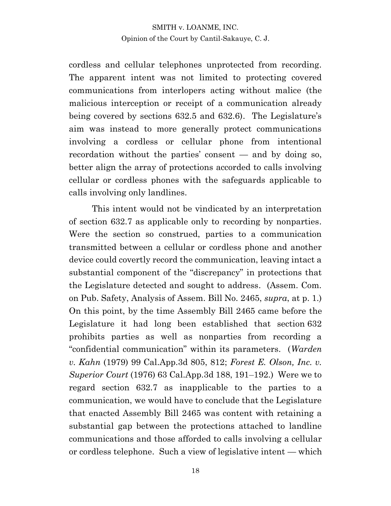cordless and cellular telephones unprotected from recording. The apparent intent was not limited to protecting covered communications from interlopers acting without malice (the malicious interception or receipt of a communication already being covered by sections 632.5 and 632.6). The Legislature's aim was instead to more generally protect communications involving a cordless or cellular phone from intentional recordation without the parties' consent — and by doing so, better align the array of protections accorded to calls involving cellular or cordless phones with the safeguards applicable to calls involving only landlines.

This intent would not be vindicated by an interpretation of section 632.7 as applicable only to recording by nonparties. Were the section so construed, parties to a communication transmitted between a cellular or cordless phone and another device could covertly record the communication, leaving intact a substantial component of the "discrepancy" in protections that the Legislature detected and sought to address. (Assem. Com. on Pub. Safety, Analysis of Assem. Bill No. 2465, *supra*, at p. 1.) On this point, by the time Assembly Bill 2465 came before the Legislature it had long been established that section 632 prohibits parties as well as nonparties from recording a "confidential communication" within its parameters. (*Warden v. Kahn* (1979) 99 Cal.App.3d 805, 812; *Forest E. Olson, Inc. v. Superior Court* (1976) 63 Cal.App.3d 188, 191–192.) Were we to regard section 632.7 as inapplicable to the parties to a communication, we would have to conclude that the Legislature that enacted Assembly Bill 2465 was content with retaining a substantial gap between the protections attached to landline communications and those afforded to calls involving a cellular or cordless telephone. Such a view of legislative intent — which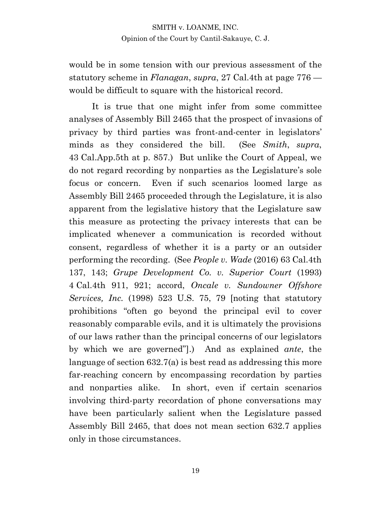would be in some tension with our previous assessment of the statutory scheme in *Flanagan*, *supra*, 27 Cal.4th at page 776 would be difficult to square with the historical record.

It is true that one might infer from some committee analyses of Assembly Bill 2465 that the prospect of invasions of privacy by third parties was front-and-center in legislators' minds as they considered the bill. (See *Smith*, *supra*, 43 Cal.App.5th at p. 857.) But unlike the Court of Appeal, we do not regard recording by nonparties as the Legislature's sole focus or concern. Even if such scenarios loomed large as Assembly Bill 2465 proceeded through the Legislature, it is also apparent from the legislative history that the Legislature saw this measure as protecting the privacy interests that can be implicated whenever a communication is recorded without consent, regardless of whether it is a party or an outsider performing the recording. (See *People v. Wade* (2016) 63 Cal.4th 137, 143; *Grupe Development Co. v. Superior Court* (1993) 4 Cal.4th 911, 921; accord, *Oncale v. Sundowner Offshore Services, Inc.* (1998) 523 U.S. 75, 79 [noting that statutory prohibitions "often go beyond the principal evil to cover reasonably comparable evils, and it is ultimately the provisions of our laws rather than the principal concerns of our legislators by which we are governed"].) And as explained *ante*, the language of section 632.7(a) is best read as addressing this more far-reaching concern by encompassing recordation by parties and nonparties alike. In short, even if certain scenarios involving third-party recordation of phone conversations may have been particularly salient when the Legislature passed Assembly Bill 2465, that does not mean section 632.7 applies only in those circumstances.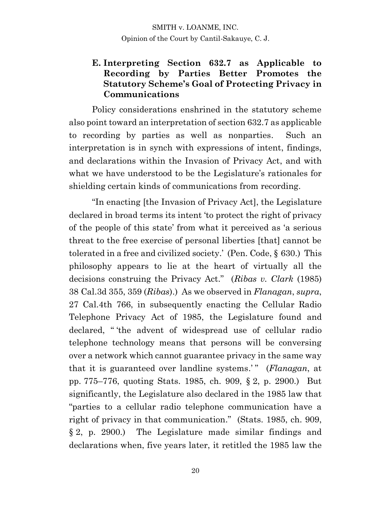### **E. Interpreting Section 632.7 as Applicable to Recording by Parties Better Promotes the Statutory Scheme's Goal of Protecting Privacy in Communications**

Policy considerations enshrined in the statutory scheme also point toward an interpretation of section 632.7 as applicable to recording by parties as well as nonparties. Such an interpretation is in synch with expressions of intent, findings, and declarations within the Invasion of Privacy Act, and with what we have understood to be the Legislature's rationales for shielding certain kinds of communications from recording.

"In enacting [the Invasion of Privacy Act], the Legislature declared in broad terms its intent 'to protect the right of privacy of the people of this state' from what it perceived as 'a serious threat to the free exercise of personal liberties [that] cannot be tolerated in a free and civilized society.' (Pen. Code, § 630.) This philosophy appears to lie at the heart of virtually all the decisions construing the Privacy Act." (*Ribas v. Clark* (1985) 38 Cal.3d 355, 359 (*Ribas*).) As we observed in *Flanagan*, *supra*, 27 Cal.4th 766, in subsequently enacting the Cellular Radio Telephone Privacy Act of 1985, the Legislature found and declared, " 'the advent of widespread use of cellular radio telephone technology means that persons will be conversing over a network which cannot guarantee privacy in the same way that it is guaranteed over landline systems.'" (*Flanagan*, at pp. 775–776, quoting Stats. 1985, ch. 909, § 2, p. 2900.) But significantly, the Legislature also declared in the 1985 law that "parties to a cellular radio telephone communication have a right of privacy in that communication." (Stats. 1985, ch. 909, § 2, p. 2900.) The Legislature made similar findings and declarations when, five years later, it retitled the 1985 law the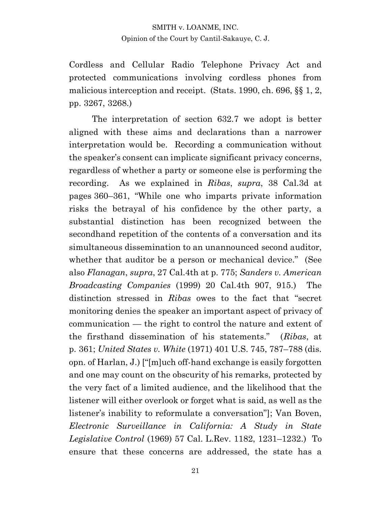Cordless and Cellular Radio Telephone Privacy Act and protected communications involving cordless phones from malicious interception and receipt. (Stats. 1990, ch. 696, §§ 1, 2, pp. 3267, 3268.)

The interpretation of section 632.7 we adopt is better aligned with these aims and declarations than a narrower interpretation would be. Recording a communication without the speaker's consent can implicate significant privacy concerns, regardless of whether a party or someone else is performing the recording. As we explained in *Ribas*, *supra*, 38 Cal.3d at pages 360–361, "While one who imparts private information risks the betrayal of his confidence by the other party, a substantial distinction has been recognized between the secondhand repetition of the contents of a conversation and its simultaneous dissemination to an unannounced second auditor, whether that auditor be a person or mechanical device." (See also *Flanagan*, *supra*, 27 Cal.4th at p. 775; *Sanders v. American Broadcasting Companies* (1999) 20 Cal.4th 907, 915.) The distinction stressed in *Ribas* owes to the fact that "secret monitoring denies the speaker an important aspect of privacy of communication — the right to control the nature and extent of the firsthand dissemination of his statements." (*Ribas*, at p. 361; *United States v. White* (1971) 401 U.S. 745, 787–788 (dis. opn. of Harlan, J.) ["[m]uch off-hand exchange is easily forgotten and one may count on the obscurity of his remarks, protected by the very fact of a limited audience, and the likelihood that the listener will either overlook or forget what is said, as well as the listener's inability to reformulate a conversation"]; Van Boven, *Electronic Surveillance in California: A Study in State Legislative Control* (1969) 57 Cal. L.Rev. 1182, 1231–1232.) To ensure that these concerns are addressed, the state has a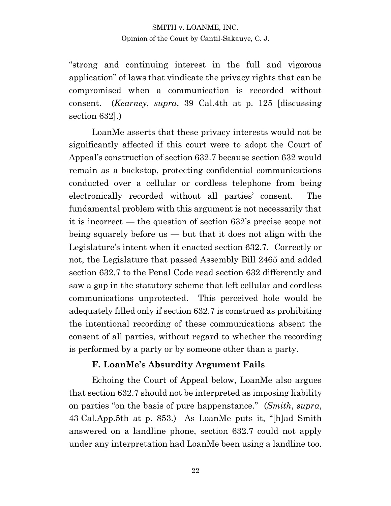"strong and continuing interest in the full and vigorous application" of laws that vindicate the privacy rights that can be compromised when a communication is recorded without consent. (*Kearney*, *supra*, 39 Cal.4th at p. 125 [discussing section 632].)

LoanMe asserts that these privacy interests would not be significantly affected if this court were to adopt the Court of Appeal's construction of section 632.7 because section 632 would remain as a backstop, protecting confidential communications conducted over a cellular or cordless telephone from being electronically recorded without all parties' consent. The fundamental problem with this argument is not necessarily that it is incorrect — the question of section 632's precise scope not being squarely before us — but that it does not align with the Legislature's intent when it enacted section 632.7. Correctly or not, the Legislature that passed Assembly Bill 2465 and added section 632.7 to the Penal Code read section 632 differently and saw a gap in the statutory scheme that left cellular and cordless communications unprotected. This perceived hole would be adequately filled only if section 632.7 is construed as prohibiting the intentional recording of these communications absent the consent of all parties, without regard to whether the recording is performed by a party or by someone other than a party.

### **F. LoanMe's Absurdity Argument Fails**

Echoing the Court of Appeal below, LoanMe also argues that section 632.7 should not be interpreted as imposing liability on parties "on the basis of pure happenstance." (*Smith*, *supra*, 43 Cal.App.5th at p. 853.) As LoanMe puts it, "[h]ad Smith answered on a landline phone, section 632.7 could not apply under any interpretation had LoanMe been using a landline too.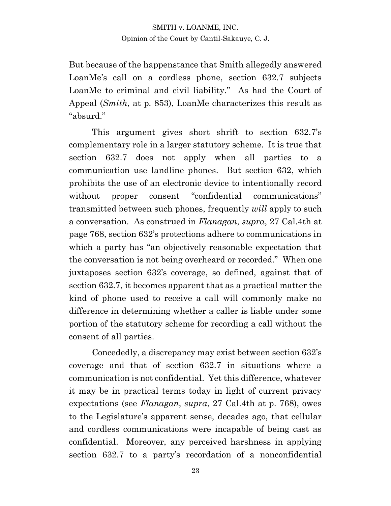But because of the happenstance that Smith allegedly answered LoanMe's call on a cordless phone, section 632.7 subjects LoanMe to criminal and civil liability." As had the Court of Appeal (*Smith*, at p. 853), LoanMe characterizes this result as "absurd."

This argument gives short shrift to section 632.7's complementary role in a larger statutory scheme. It is true that section 632.7 does not apply when all parties to a communication use landline phones. But section 632, which prohibits the use of an electronic device to intentionally record without proper consent "confidential communications" transmitted between such phones, frequently *will* apply to such a conversation. As construed in *Flanagan*, *supra*, 27 Cal.4th at page 768, section 632's protections adhere to communications in which a party has "an objectively reasonable expectation that the conversation is not being overheard or recorded." When one juxtaposes section 632's coverage, so defined, against that of section 632.7, it becomes apparent that as a practical matter the kind of phone used to receive a call will commonly make no difference in determining whether a caller is liable under some portion of the statutory scheme for recording a call without the consent of all parties.

Concededly, a discrepancy may exist between section 632's coverage and that of section 632.7 in situations where a communication is not confidential. Yet this difference, whatever it may be in practical terms today in light of current privacy expectations (see *Flanagan*, *supra*, 27 Cal.4th at p. 768), owes to the Legislature's apparent sense, decades ago, that cellular and cordless communications were incapable of being cast as confidential. Moreover, any perceived harshness in applying section 632.7 to a party's recordation of a nonconfidential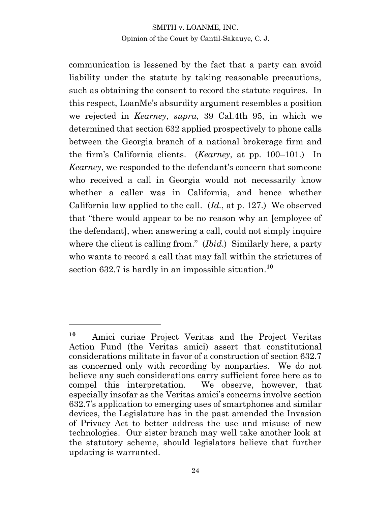communication is lessened by the fact that a party can avoid liability under the statute by taking reasonable precautions, such as obtaining the consent to record the statute requires. In this respect, LoanMe's absurdity argument resembles a position we rejected in *Kearney*, *supra*, 39 Cal.4th 95, in which we determined that section 632 applied prospectively to phone calls between the Georgia branch of a national brokerage firm and the firm's California clients. (*Kearney*, at pp. 100–101.) In *Kearney*, we responded to the defendant's concern that someone who received a call in Georgia would not necessarily know whether a caller was in California, and hence whether California law applied to the call. (*Id.*, at p. 127.) We observed that "there would appear to be no reason why an [employee of the defendant], when answering a call, could not simply inquire where the client is calling from." (*Ibid*.) Similarly here, a party who wants to record a call that may fall within the strictures of section 632.7 is hardly in an impossible situation. **10**

**<sup>10</sup>** Amici curiae Project Veritas and the Project Veritas Action Fund (the Veritas amici) assert that constitutional considerations militate in favor of a construction of section 632.7 as concerned only with recording by nonparties. We do not believe any such considerations carry sufficient force here as to compel this interpretation. We observe, however, that especially insofar as the Veritas amici's concerns involve section 632.7's application to emerging uses of smartphones and similar devices, the Legislature has in the past amended the Invasion of Privacy Act to better address the use and misuse of new technologies. Our sister branch may well take another look at the statutory scheme, should legislators believe that further updating is warranted.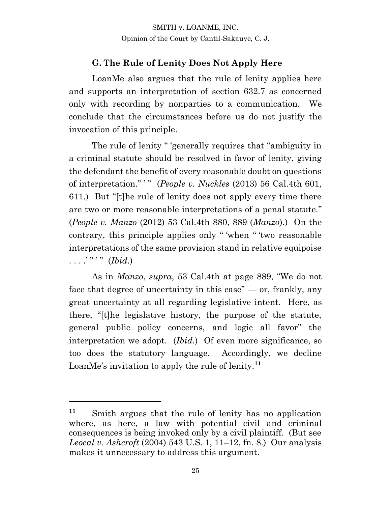## **G. The Rule of Lenity Does Not Apply Here**

LoanMe also argues that the rule of lenity applies here and supports an interpretation of section 632.7 as concerned only with recording by nonparties to a communication. We conclude that the circumstances before us do not justify the invocation of this principle.

The rule of lenity " 'generally requires that "ambiguity in a criminal statute should be resolved in favor of lenity, giving the defendant the benefit of every reasonable doubt on questions of interpretation." ' " (*People v. Nuckles* (2013) 56 Cal.4th 601, 611.) But "[t]he rule of lenity does not apply every time there are two or more reasonable interpretations of a penal statute." (*People v. Manzo* (2012) 53 Cal.4th 880, 889 (*Manzo*).) On the contrary, this principle applies only " 'when " 'two reasonable interpretations of the same provision stand in relative equipoise . . . . " " *(Ibid.)* 

As in *Manzo*, *supra*, 53 Cal.4th at page 889, "We do not face that degree of uncertainty in this case" — or, frankly, any great uncertainty at all regarding legislative intent. Here, as there, "[t]he legislative history, the purpose of the statute, general public policy concerns, and logic all favor" the interpretation we adopt. (*Ibid*.) Of even more significance, so too does the statutory language. Accordingly, we decline LoanMe's invitation to apply the rule of lenity.**<sup>11</sup>**

**<sup>11</sup>** Smith argues that the rule of lenity has no application where, as here, a law with potential civil and criminal consequences is being invoked only by a civil plaintiff. (But see *Leocal v. Ashcroft* (2004) 543 U.S. 1, 11–12, fn. 8.) Our analysis makes it unnecessary to address this argument.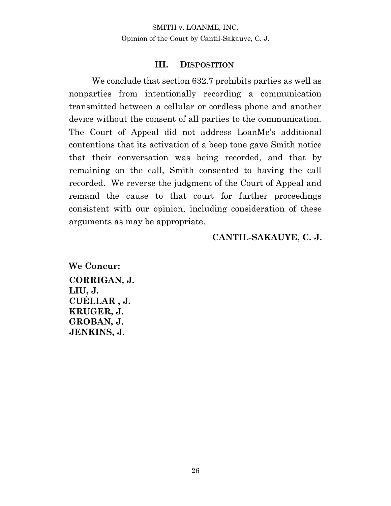#### **III. DISPOSITION**

We conclude that section 632.7 prohibits parties as well as nonparties from intentionally recording a communication transmitted between a cellular or cordless phone and another device without the consent of all parties to the communication. The Court of Appeal did not address LoanMe's additional contentions that its activation of a beep tone gave Smith notice that their conversation was being recorded, and that by remaining on the call, Smith consented to having the call recorded. We reverse the judgment of the Court of Appeal and remand the cause to that court for further proceedings consistent with our opinion, including consideration of these arguments as may be appropriate.

## **CANTIL-SAKAUYE, C. J.**

**We Concur: CORRIGAN, J. LIU, J. CUÉLLAR , J. KRUGER, J. GROBAN, J. JENKINS, J.**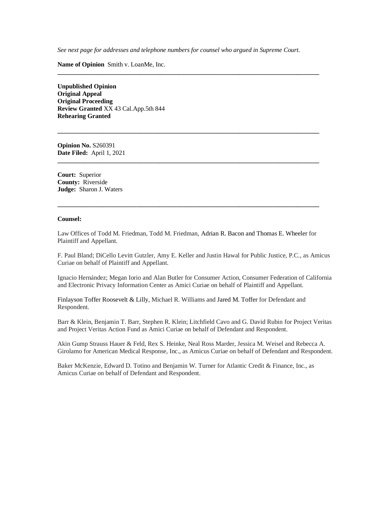*See next page for addresses and telephone numbers for counsel who argued in Supreme Court.*

**\_\_\_\_\_\_\_\_\_\_\_\_\_\_\_\_\_\_\_\_\_\_\_\_\_\_\_\_\_\_\_\_\_\_\_\_\_\_\_\_\_\_\_\_\_\_\_\_\_\_\_\_\_\_\_\_\_\_\_\_\_\_\_\_\_\_\_\_\_\_\_\_\_\_\_\_\_\_\_\_\_\_**

**\_\_\_\_\_\_\_\_\_\_\_\_\_\_\_\_\_\_\_\_\_\_\_\_\_\_\_\_\_\_\_\_\_\_\_\_\_\_\_\_\_\_\_\_\_\_\_\_\_\_\_\_\_\_\_\_\_\_\_\_\_\_\_\_\_\_\_\_\_\_\_\_\_\_\_\_\_\_\_\_\_\_**

**\_\_\_\_\_\_\_\_\_\_\_\_\_\_\_\_\_\_\_\_\_\_\_\_\_\_\_\_\_\_\_\_\_\_\_\_\_\_\_\_\_\_\_\_\_\_\_\_\_\_\_\_\_\_\_\_\_\_\_\_\_\_\_\_\_\_\_\_\_\_\_\_\_\_\_\_\_\_\_\_\_\_**

**Name of Opinion** Smith v. LoanMe, Inc.

**Unpublished Opinion Original Appeal Original Proceeding Review Granted** XX 43 Cal.App.5th 844 **Rehearing Granted**

**Opinion No.** S260391 **Date Filed:** April 1, 2021

**Court:** Superior **County:** Riverside **Judge:** Sharon J. Waters

#### **Counsel:**

Law Offices of Todd M. Friedman, Todd M. Friedman, Adrian R. Bacon and Thomas E. Wheeler for Plaintiff and Appellant.

**\_\_\_\_\_\_\_\_\_\_\_\_\_\_\_\_\_\_\_\_\_\_\_\_\_\_\_\_\_\_\_\_\_\_\_\_\_\_\_\_\_\_\_\_\_\_\_\_\_\_\_\_\_\_\_\_\_\_\_\_\_\_\_\_\_\_\_\_\_\_\_\_\_\_\_\_\_\_\_\_\_\_**

F. Paul Bland; DiCello Levitt Gutzler, Amy E. Keller and Justin Hawal for Public Justice, P.C., as Amicus Curiae on behalf of Plaintiff and Appellant.

Ignacio Hernández; Megan Iorio and Alan Butler for Consumer Action, Consumer Federation of California and Electronic Privacy Information Center as Amici Curiae on behalf of Plaintiff and Appellant.

Finlayson Toffer Roosevelt & Lilly, Michael R. Williams and Jared M. Toffer for Defendant and Respondent.

Barr & Klein, Benjamin T. Barr, Stephen R. Klein; Litchfield Cavo and G. David Rubin for Project Veritas and Project Veritas Action Fund as Amici Curiae on behalf of Defendant and Respondent.

Akin Gump Strauss Hauer & Feld, Rex S. Heinke, Neal Ross Marder, Jessica M. Weisel and Rebecca A. Girolamo for American Medical Response, Inc., as Amicus Curiae on behalf of Defendant and Respondent.

Baker McKenzie, Edward D. Totino and Benjamin W. Turner for Atlantic Credit & Finance, Inc., as Amicus Curiae on behalf of Defendant and Respondent.